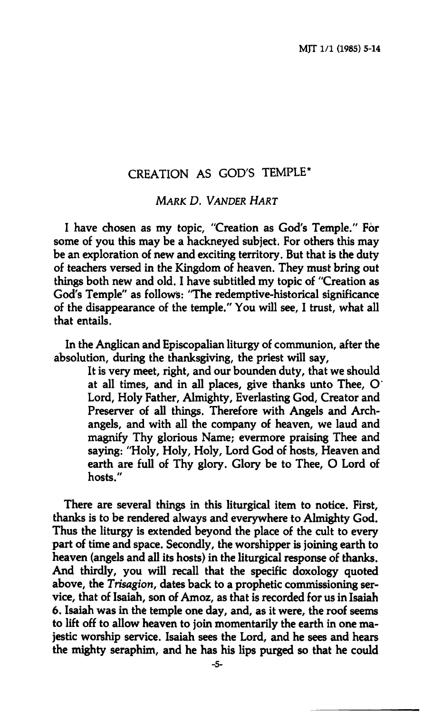## **CREATION AS GOD'S TEMPLE\***

*MARK D. VANDER HART* 

**I have chosen as my topic, "Creation as God's Temple." For some of you this may be a hackneyed subject. For others this may be an exploration of new and exciting territory. But that is the duty of teachers versed in the Kingdom of heaven. They must bring out things both new and old. I have subtitled my topic of "Creation as God's Temple" as follows: "The redemptive-historical significance of the disappearance of the temple." You will see, I trust, what all that entails.** 

**In the Anglican and Episcopalian liturgy of communion, after the absolution, during the thanksgiving, the priest will say.** 

> **It is very meet, right, and our bounden duty, that we should at all times, and in all places, give thanks unto Thee, O' Lord, Holy Father, Almighty, Everlasting God, Creator and Preserver of all things. Therefore with Angels and Archangels, and with all the company of heaven, we laud and magnify Thy glorious Name; evermore praising Thee and saying: "Holy, Holy, Holy, Lord God of hosts. Heaven and earth are full of Thy glory. Glory be to Thee, O Lord of hosts."**

**There are several things in this liturgical item to notice. First, thanks is to be rendered always and everywhere to Almighty God. Thus the liturgy is extended beyond the place of the cult to every part of time and space. Secondly, the worshipper is joining earth to heaven (angels and all its hosts) in the liturgical response of thanks. And thirdly, you will recall that the specific doxology quoted above, the** *Trisagion,* **dates back to a prophetic commissioning service, that of Isaiah, son of Amoz, as that is recorded for us in Isaiah 6. Isaiah was in the temple one day, and, as it were, the roof seems to lift off to allow heaven to join momentarily the earth in one majestic worship service. Isaiah sees the Lord, and he sees and hears the mighty seraphim, and he has his lips purged so that he could**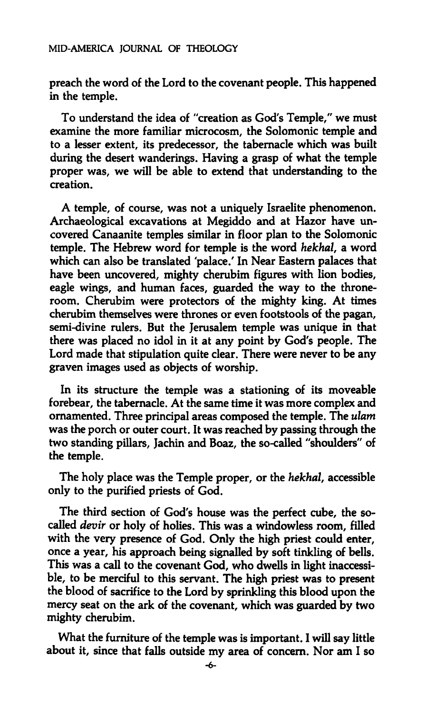**preach the word of the Lord to the covenant people. This happened in the temple.** 

**To understand the idea of "creation as God's Temple," we must examine the more familiar microcosm, the Solomonic temple and to a lesser extent, its predecessor, the tabernacle which was built during the desert wanderings. Having a grasp of what the temple proper was, we will be able to extend that understanding to the creation.** 

**A temple, of course, was not a uniquely Israelite phenomenon. Archaeological excavations at Megiddo and at Hazor have uncovered Canaanite temples similar in floor plan to the Solomonic temple. The Hebrew word for temple is the word** *hekhal,* **a word which can also be translated 'palace.' In Near Eastern palaces that have been uncovered, mighty cherubim figures with lion bodies, eagle wings, and human faces, guarded the way to the throneroom. Cherubim were protectors of the mighty king. At times cherubim themselves were thrones or even footstools of the pagan, semi-divine rulers. But the Jerusalem temple was unique in that there was placed no idol in it at any point by God's people. The Lord made that stipulation quite clear. There were never to be any graven images used as objects of worship.** 

**In its structure the temple was a stationing of its moveable forebear, the tabernacle. At the same time it was more complex and ornamented. Three principal areas composed the temple. The** *ulam*  **was the porch or outer court. It was reached by passing through the two standing pillars, Jachin and Boaz, the so-called "shoulders" of the temple.** 

**The holy place was the Temple proper, or the** *hekhal,* **accessible only to the purified priests of God.** 

**The third section of God's house was the perfect cube, the socalled** *devir* **or holy of holies. This was a windowless room, filled with the very presence of God. Only the high priest could enter, once a year, his approach being signalled by soft tinkling of bells. This was a call to the covenant God, who dwells in light inaccessible, to be merciful to this servant. The high priest was to present the blood of sacrifice to the Lord by sprinkling this blood upon the mercy seat on the ark of the covenant, which was guarded by two mighty cherubim.** 

**What the furniture of the temple was is important. I will say little about it, since that falls outside my area of concern. Nor am I so**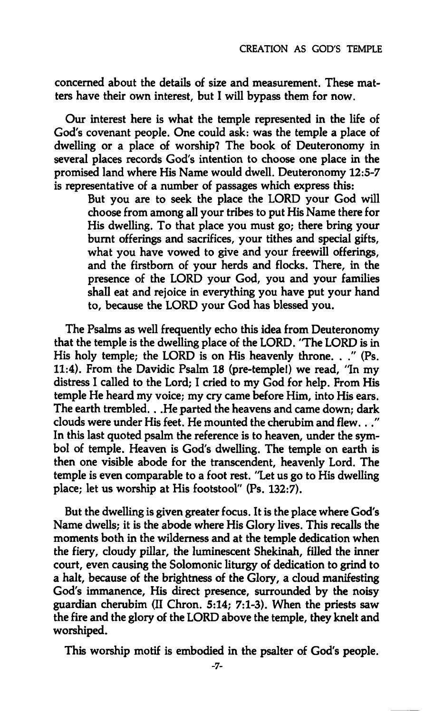**concerned about the details of size and measurement. These matters have their own interest, but I will bypass them for now.** 

**Our interest here is what the temple represented in the life of God's covenant people. One could ask: was the temple a place of dwelling or a place of worship? The book of Deuteronomy in several places records God's intention to choose one place in the promised land where His Name would dwell. Deuteronomy 12:5-7 is representative of a number of passages which express this:** 

> **But you are to seek the place the LORD your God will choose from among all your tribes to put His Name there for His dwelling. To that place you must go; there bring your burnt offerings and sacrifices, your tithes and special gifts, what you have vowed to give and your freewill offerings, and the firstborn of your herds and flocks. There, in the presence of the LORD your God, you and your families shall eat and rejoice in everything you have put your hand to, because the LORD your God has blessed you.**

**The Psalms as well frequently echo this idea from Deuteronomy that the temple is the dwelling place of the LORD. 'The LORD is in His holy temple; the LORD is on His heavenly throne. . ." (Ps. 11:4). From the Davidic Psalm 18 (pre-temple!) we read, 'In my distress I called to the Lord; I cried to my God for help. From His temple He heard my voice; my cry came before Him, into His ears. The earth trembled. . .He parted the heavens and came down; dark clouds were under His feet. He mounted the cherubim and flew..." In this last quoted psalm the reference is to heaven, under the symbol of temple. Heaven is God's dwelling. The temple on earth is then one visible abode for the transcendent, heavenly Lord. The temple is even comparable to a foot rest. "Let us go to His dwelling place; let us worship at His footstool" (Ps. 132:7).** 

**But the dwelling is given greater focus. It is the place where God's Name dwells; it is the abode where His Glory lives. This recalls the moments both in the wilderness and at the temple dedication when the fiery, cloudy pillar, the luminescent Shekinah, filled the inner court, even causing the Solomonic liturgy of dedication to grind to a halt, because of the brightness of the Glory, a cloud manifesting God's immanence. His direct presence, surrounded by the noisy guardian cherubim (II Chron. 5:14; 7:1-3). When the priests saw the fire and the glory of the LORD above the temple, they knelt and worshiped.** 

**This worship motif is embodied in the psalter of God's people.**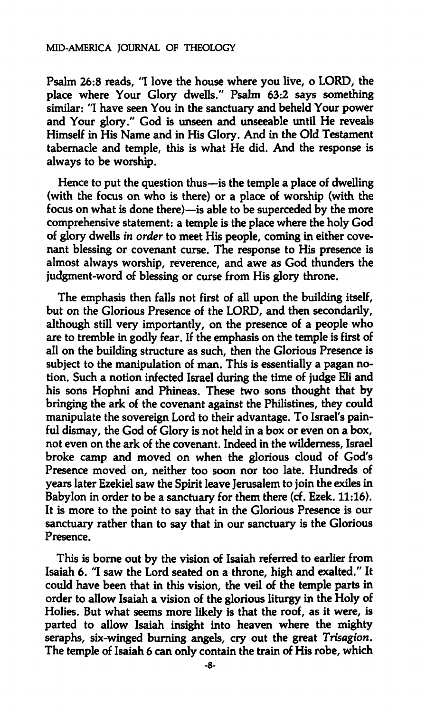**Psalm 26:8 reads, "I love the house where you live, o LORD, the place where Your Glory dwells." Psalm 63:2 says something similar: "I have seen You in the sanctuary and beheld Your power and Your glory." God is unseen and unseeable until He reveals Himself in His Name and in His Glory. And in the Old Testament tabernacle and temple, this is what He did. And the response is always to be worship.** 

**Hence to put the question thus—is the temple a place of dwelling (with the focus on who is there) or a place of worship (with the focus on what is done there)—is able to be superceded by the more comprehensive statement: a temple is the place where the holy God of glory dwells** *in order* **to meet His people, coming in either covenant blessing or covenant curse. The response to His presence is almost always worship, reverence, and awe as God thunders the judgment-word of blessing or curse from His glory throne.** 

**The emphasis then falls not first of all upon the building itself, but on the Glorious Presence of the LORD, and then secondarily, although still very importantly, on the presence of a people who are to tremble in godly fear. If the emphasis on the temple is first of all on the building structure as such, then the Glorious Presence is subject to the manipulation of man. This is essentially a pagan notion. Such a notion infected Israel during the time of judge Eli and his sons Hophni and Phineas. These two sons thought that by bringing the ark of the covenant against the Philistines, they could manipulate the sovereign Lord to their advantage. To Israel's painful dismay, the God of Glory is not held in a box or even on a box, not even on the ark of the covenant. Indeed in the wilderness, Israel broke camp and moved on when the glorious cloud of God's Presence moved on, neither too soon nor too late. Hundreds of years later Ezekiel saw the Spirit leave Jerusalem to join the exiles in Babylon in order to be a sanctuary for them there (cf. Ezek. 11:16). It is more to the point to say that in the Glorious Presence is our sanctuary rather than to say that in our sanctuary is the Glorious Presence.** 

**This is borne out by the vision of Isaiah referred to earlier from Isaiah 6. "I saw the Lord seated on a throne, high and exalted." It could have been that in this vision, the veil of the temple parts in order to allow Isaiah a vision of the glorious liturgy in the Holy of Holies. But what seems more likely is that the roof, as it were, is parted to allow Isaiah insight into heaven where the mighty seraphs, six-winged burning angels, cry out the great** *Trisagion.*  **The temple of Isaiah 6 can only contain the train of His robe, which**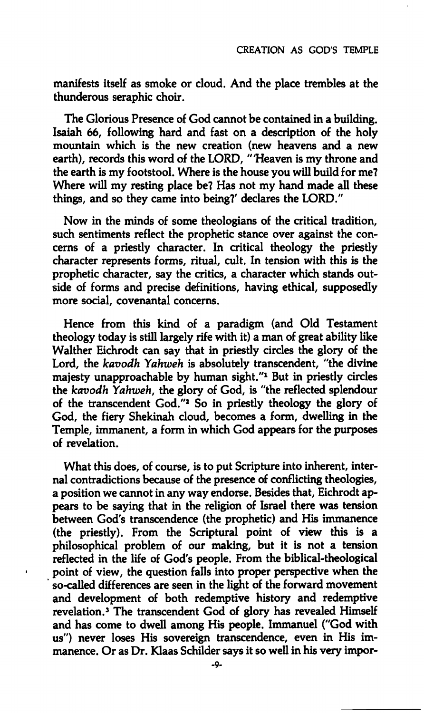**manifests itself as smoke or cloud. And the place trembles at the thunderous seraphic choir.** 

**The Glorious Presence of God cannot be contained in a building. Isaiah 66, following hard and fast on a description of the holy mountain which is the new creation (new heavens and a new earth), records this word of the LORD, "'Heaven is my throne and the earth is my footstool. Where is the house you will build for me? Where will my resting place be? Has not my hand made all these things, and so they came into being?' declares the LORD."** 

**Now in the minds of some theologians of the critical tradition, such sentiments reflect the prophetic stance over against the concerns of a priestly character. In critical theology the priestly character represents forms, ritual, cult. In tension with this is the prophetic character, say the critics, a character which stands outside of forms and precise definitions, having ethical, supposedly more social, covenantal concerns.** 

**Hence from this kind of a paradigm (and Old Testament theology today is still largely rife with it) a man of great ability like Walther Eichrodt can say that in priestly circles the glory of the Lord, the** *kavodh Yahweh* **is absolutely transcendent, "the divine majesty unapproachable by human sight."<sup>1</sup> But in priestly circles the** *kavodh Yahweh,* **the glory of God, is "the reflected splendour of the transcendent God."<sup>2</sup> So in priestly theology the glory of God, the fiery Shekinah cloud, becomes a form, dwelling in the Temple, immanent, a form in which God appears for the purposes of revelation.** 

**What this does, of course, is to put Scripture into inherent, internal contradictions because of the presence of conflicting theologies, a position we cannot in any way endorse. Besides that, Eichrodt appears to be saying that in the religion of Israel there was tension between God's transcendence (the prophetic) and His immanence (the priestly). From the Scriptural point of view this is a philosophical problem of our making, but it is not a tension reflected in the life of God's people. From the biblical-theological point of view, the question falls into proper perspective when the so-called differences are seen in the light of the forward movement and development of both redemptive history and redemptive revelation.<sup>3</sup> The transcendent God of glory has revealed Himself and has come to dwell among His people. Immanuel ("God with us") never loses His sovereign transcendence, even in His immanence. Or as Dr. Klaas Schilder says it so well in his very impor-**

ı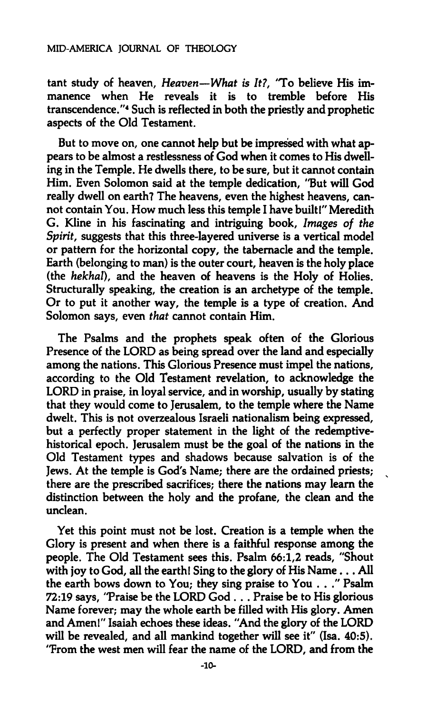**tant study of heaven.** *Heaven—What is It?,* **'To believe His immanence when He reveals it is to tremble before His transcendence."<sup>4</sup> Such is reflected in both the priestly and prophetic aspects of the Old Testament.** 

**But to move on, one cannot help but be impressed with what appears to be almost a restlessness of God when it comes to His dwelling in the Temple. He dwells there, to be sure, but it cannot contain**  Him. Even Solomon said at the temple dedication, 'But will God **really dwell on earth? The heavens, even the highest heavens, cannot contain You. How much less this temple I have built!" Meredith G. Kline in his fascinating and intriguing book.** *Images of the Spirit,* **suggests that this three-layered universe is a vertical model or pattern for the horizontal copy, the tabernacle and the temple. Earth (belonging to man) is the outer court, heaven is the holy place (the** *hekhal),* **and the heaven of heavens is the Holy of Holies. Structurally speaking, the creation is an archetype of the temple. Or to put it another way, the temple is a type of creation. And Solomon says, even** *that* **cannot contain Him.** 

**The Psalms and the prophets speak often of the Glorious Presence of the LORD as being spread over the land and especially among the nations. This Glorious Presence must impel the nations, according to the Old Testament revelation, to acknowledge the LORD in praise, in loyal service, and in worship, usually by stating that they would come to Jerusalem, to the temple where the Name dwelt. This is not overzealous Israeli nationalism being expressed, but a perfectly proper statement in the light of the redemptivehistorical epoch. Jerusalem must be the goal of the nations in the Old Testament types and shadows because salvation is of the Jews. At the temple is God's Name; there are the ordained priests; there are the prescribed sacrifices; there the nations may learn the distinction between the holy and the profane, the clean and the unclean.** 

**Yet this point must not be lost. Creation is a temple when the Glory is present and when there is a faithful response among the people. The Old Testament sees this. Psalm 66:1,2 reads, "Shout with joy to God, all the earth! Sing to the glory of His Name... All the earth bows down to You; they sing praise to You ..." Psalm 72:19 says, 'Praise be the LORD God . . . Praise be to His glorious Name forever; may the whole earth be filled with His glory. Amen and Amen!" Isaiah echoes these ideas. "And the glory of the LORD will be revealed, and all mankind together will see it" (Isa. 40:5). "From the west men will fear the name of the LORD, and from the**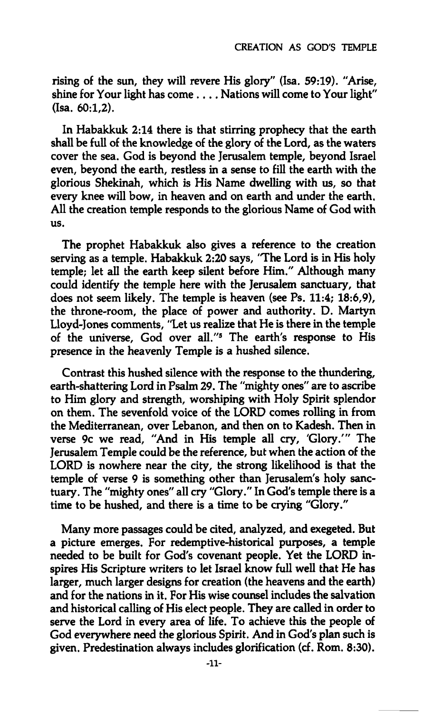**rising of the sun, they will revere His glory" (Isa. 59:19). "Arise, shine for Your light has come ... . Nations will come to Your light"**   $(Isa \ 60.1,2)$ .

**In Habakkuk 2:14 there is that stirring prophecy that the earth shall be full of the knowledge of the glory of the Lord, as the waters cover the sea. God is beyond the Jerusalem temple, beyond Israel even, beyond the earth, restless in a sense to fill the earth with the glorious Shekinah, which is His Name dwelling with us, so that every knee will bow, in heaven and on earth and under the earth. All the creation temple responds to the glorious Name of God with us.** 

**The prophet Habakkuk also gives a reference to the creation serving as a temple. Habakkuk 2:20 says, 'The Lord is in His holy temple; let all the earth keep silent before Him." Although many could identify the temple here with the Jerusalem sanctuary, that does not seem likely. The temple is heaven (see Ps. 11:4; 18:6,9), the throne-room, the place of power and authority. D. Martyn Lloyd-Jones comments, "Let us realize that He is there in the temple of the universe, God over all."<sup>5</sup> The earth's response to His presence in the heavenly Temple is a hushed silence.** 

**Contrast this hushed silence with the response to the thundering, earth-shattering Lord in Psalm 29. The "mighty ones" are to ascribe to Him glory and strength, worshiping with Holy Spirit splendor on them. The sevenfold voice of the LORD comes rolling in from the Mediterranean, over Lebanon, and then on to Kadesh. Then in verse 9c we read, "And in His temple all cry, 'Glory.'" The Jerusalem Temple could be the reference, but when the action of the LORD is nowhere near the city, the strong likelihood is that the temple of verse 9 is something other than Jerusalem's holy sanctuary. The "mighty ones" all cry "Glory." In God's temple there is a time to be hushed, and there is a time to be crying "Glory."** 

**Many more passages could be cited, analyzed, and exegeted. But a picture emerges. For redemptive-historical purposes, a temple needed to be built for God's covenant people. Yet the LORD inspires His Scripture writers to let Israel know full well that He has larger, much larger designs for creation (the heavens and the earth) and for the nations in it. For His wise counsel includes the salvation and historical calling of His elect people. They are called in order to serve the Lord in every area of life. To achieve this the people of God everywhere need the glorious Spirit. And in God's plan such is given. Predestination always includes glorification (cf. Rom. 8:30).**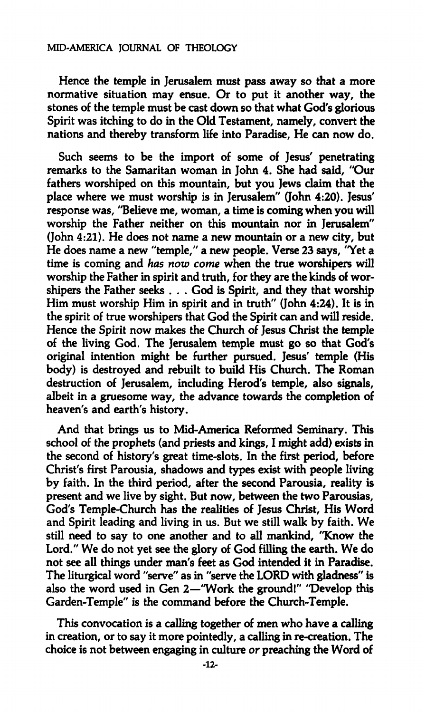## **MID-AMERICA JOURNAL OF THEOLOGY**

**Hence the temple in Jerusalem must pass away so that a more normative situation may ensue. Or to put it another way, the stones of the temple must be cast down so that what God's glorious Spirit was itching to do in the Old Testament, namely, convert the nations and thereby transform life into Paradise, He can now do.** 

**Such seems to be the import of some of Jesus' penetrating remarks to the Samaritan woman in John 4. She had said, "Our fathers worshiped on this mountain, but you Jews claim that the place where we must worship is in Jerusalem" (John 4:20). Jesus' response was, "Believe me, woman, a time is coming when you will worship the Father neither on this mountain nor in Jerusalem" (John 4:21). He does not name a new mountain or a new city, but He does name a new "temple," a new people. Verse 23 says, "Yet a time is coming and** *has now come* **when the true worshipers will worship the Father in spirit and truth, for they are the kinds of worshipers the Father seeks . . . God is Spirit, and they that worship Him must worship Him in spirit and in truth" (John 4:24). It is in the spirit of true worshipers that God the Spirit can and will reside. Hence the Spirit now makes the Church of Jesus Christ the temple of the living God. The Jerusalem temple must go so that God's original intention might be further pursued. Jesus' temple (His body) is destroyed and rebuilt to build His Church. The Roman destruction of Jerusalem, including Herod's temple, also signals, albeit in a gruesome way, the advance towards the completion of heaven's and earth's history.** 

**And that brings us to Mid-America Reformed Seminary. This school of the prophets (and priests and kings, I might add) exists in the second of history's great time-slots. In the first period, before Christ's first Parousia, shadows and types exist with people living by faith. In the third period, after the second Parousia, reality is present and we live by sight. But now, between the two Parousias, God's Temple-Church has the realities of Jesus Christ, His Word and Spirit leading and living in us. But we still walk by faith. We still need to say to one another and to all mankind, "Know the Lord." We do not yet see the glory of God filling the earth. We do not see all things under man's feet as God intended it in Paradise. The liturgical word "serve" as in "serve the LORD with gladness" is also the word used in Gen 2—"Work the ground!" "Develop this Garden-Temple" is the command before the Church-Temple.** 

**This convocation is a calling together of men who have a calling in creation, or to say it more pointedly, a calling in re-creation. The choice is not between engaging in culture** *or* **preaching the Word of**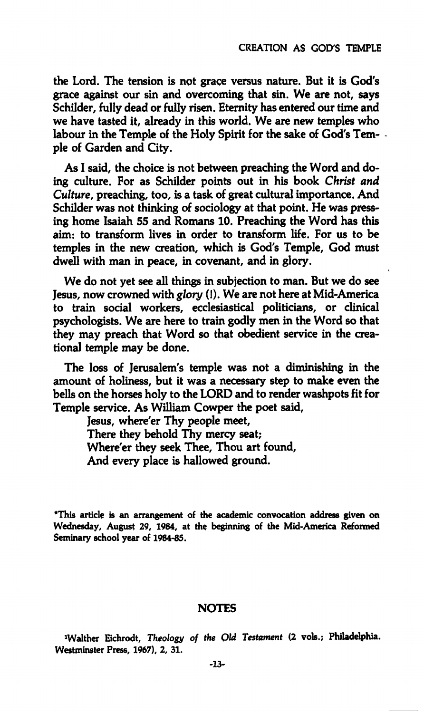**the Lord. The tension is not grace versus nature. But it is God's grace against our sin and overcoming that sin. We are not, says Schilder, fully dead or fully risen. Eternity has entered our time and we have tasted it, already in this world. We are new temples who labour in the Temple of the Holy Spirit for the sake of God's Temple of Garden and City.** 

**As I said, the choice is not between preaching the Word and doing culture. For as Schilder points out in his book** *Christ and Culture,* **preaching, too, is a task of great cultural importance. And Schilder was not thinking of sociology at that point. He was pressing home Isaiah 55 and Romans 10. Preaching the Word has this aim: to transform lives in order to transform life. For us to be temples in the new creation, which is God's Temple, God must dwell with man in peace, in covenant, and in glory.** 

**We do not yet see all things in subjection to man. But we do see Jesus, now crowned with** *glory* **(!). We are not here at Mid-America to train social workers, ecclesiastical politicians, or clinical psychologists. We are here to train godly men in the Word so that**  they may preach that Word so that obedient service in the crea**tional temple may be done.** 

**The loss of Jerusalem's temple was not a diminishing in the amount of holiness, but it was a necessary step to make even the bells on the horses holy to the LORD and to render washpots fit for Temple service. As William Cowper the poet said,** 

**Jesus, where'er Thy people meet. There they behold Thy mercy seat; Where'er they seek Thee, Thou art found. And every place is hallowed ground.** 

**\*This article is an arrangement of the academic convocation address given on Wednesday, August 29, 1984, at the beginning of the Mid-America Reformed Seminary school year of 1984-85.** 

## **NOTES**

**»Walther Eichrodt,** *Theology of the Old Testament* **(2 vols.; Philadelphia. Westminster Press, 1967), 2, 31.**